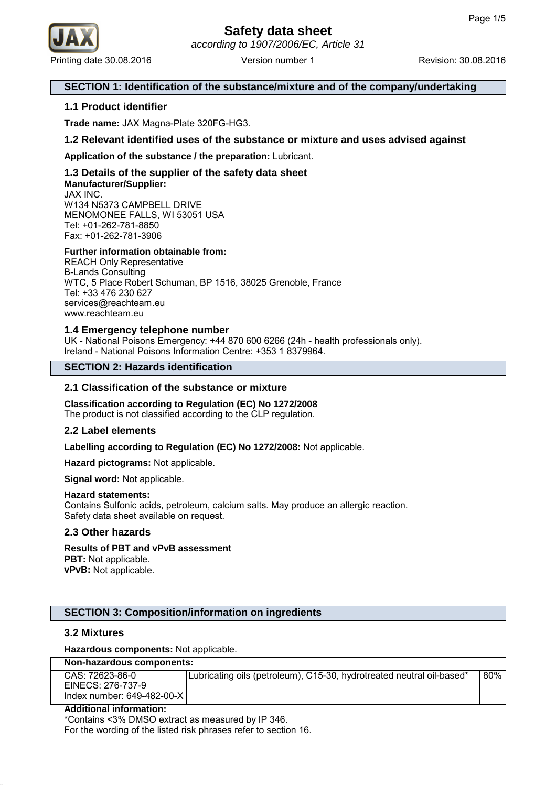

## **SECTION 1: Identification of the substance/mixture and of the company/undertaking**

## **1.1 Product identifier**

**Trade name:** JAX Magna-Plate 320FG-HG3.

## **1.2 Relevant identified uses of the substance or mixture and uses advised against**

**Application of the substance / the preparation:** Lubricant.

## **1.3 Details of the supplier of the safety data sheet Manufacturer/Supplier:** JAX INC.

W134 N5373 CAMPBELL DRIVE MENOMONEE FALLS, WI 53051 USA Tel: +01-262-781-8850 Fax: +01-262-781-3906

## **Further information obtainable from:**

REACH Only Representative B-Lands Consulting WTC, 5 Place Robert Schuman, BP 1516, 38025 Grenoble, France Tel: +33 476 230 627 services@reachteam.eu www.reachteam.eu

## **1.4 Emergency telephone number**

UK - National Poisons Emergency: +44 870 600 6266 (24h - health professionals only). Ireland - National Poisons Information Centre: +353 1 8379964.

## **SECTION 2: Hazards identification**

## **2.1 Classification of the substance or mixture**

**Classification according to Regulation (EC) No 1272/2008** The product is not classified according to the CLP regulation.

### **2.2 Label elements**

**Labelling according to Regulation (EC) No 1272/2008:** Not applicable.

**Hazard pictograms:** Not applicable.

**Signal word:** Not applicable.

### **Hazard statements:**

Contains Sulfonic acids, petroleum, calcium salts. May produce an allergic reaction. Safety data sheet available on request.

### **2.3 Other hazards**

# **Results of PBT and vPvB assessment**

**PBT:** Not applicable. **vPvB:** Not applicable.

### **SECTION 3: Composition/information on ingredients**

### **3.2 Mixtures**

**Hazardous components:** Not applicable.

| Non-hazardous components: |  |
|---------------------------|--|
|---------------------------|--|

| CAS: 72623-86-0             | Lubricating oils (petroleum), C15-30, hydrotreated neutral oil-based* | 80% |
|-----------------------------|-----------------------------------------------------------------------|-----|
| EINECS: 276-737-9           |                                                                       |     |
| Index number: 649-482-00-XI |                                                                       |     |

#### **Additional information:**

\*Contains <3% DMSO extract as measured by IP 346. For the wording of the listed risk phrases refer to section 16.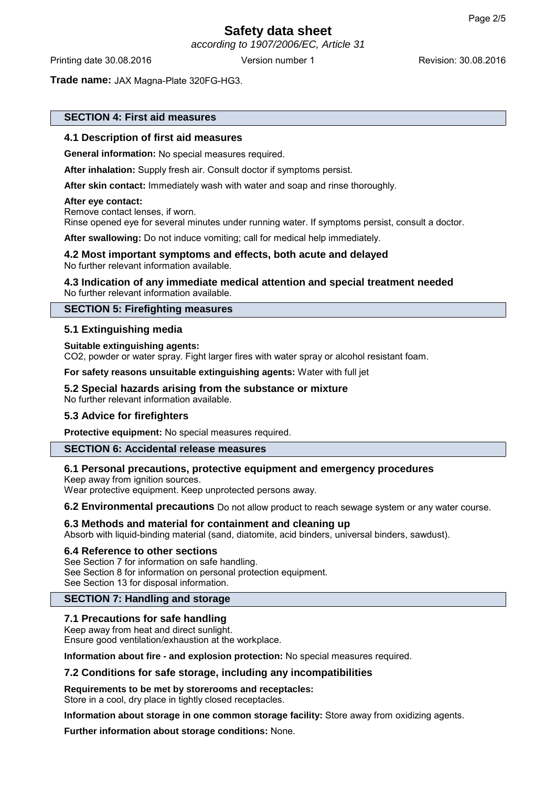according to 1907/2006/EC, Article 31

Printing date 30.08.2016 **Version number 1** Revision: 30.08.2016 **Revision:** 30.08.2016

**Trade name:** JAX Magna-Plate 320FG-HG3.

## **SECTION 4: First aid measures**

## **4.1 Description of first aid measures**

**General information:** No special measures required.

**After inhalation:** Supply fresh air. Consult doctor if symptoms persist.

**After skin contact:** Immediately wash with water and soap and rinse thoroughly.

### **After eye contact:**

Remove contact lenses, if worn. Rinse opened eye for several minutes under running water. If symptoms persist, consult a doctor.

**After swallowing:** Do not induce vomiting; call for medical help immediately.

### **4.2 Most important symptoms and effects, both acute and delayed** No further relevant information available.

### **4.3 Indication of any immediate medical attention and special treatment needed** No further relevant information available.

## **SECTION 5: Firefighting measures**

## **5.1 Extinguishing media**

### **Suitable extinguishing agents:**

CO2, powder or water spray. Fight larger fires with water spray or alcohol resistant foam.

**For safety reasons unsuitable extinguishing agents:** Water with full jet

## **5.2 Special hazards arising from the substance or mixture**

No further relevant information available.

### **5.3 Advice for firefighters**

**Protective equipment:** No special measures required.

## **SECTION 6: Accidental release measures**

## **6.1 Personal precautions, protective equipment and emergency procedures**

Keep away from ignition sources.

Wear protective equipment. Keep unprotected persons away.

**6.2 Environmental precautions** Do not allow product to reach sewage system or any water course.

## **6.3 Methods and material for containment and cleaning up**

Absorb with liquid-binding material (sand, diatomite, acid binders, universal binders, sawdust).

### **6.4 Reference to other sections**

See Section 7 for information on safe handling. See Section 8 for information on personal protection equipment. See Section 13 for disposal information.

## **SECTION 7: Handling and storage**

## **7.1 Precautions for safe handling**

Keep away from heat and direct sunlight. Ensure good ventilation/exhaustion at the workplace.

**Information about fire - and explosion protection:** No special measures required.

## **7.2 Conditions for safe storage, including any incompatibilities**

# **Requirements to be met by storerooms and receptacles:**

Store in a cool, dry place in tightly closed receptacles.

**Information about storage in one common storage facility:** Store away from oxidizing agents.

**Further information about storage conditions:** None.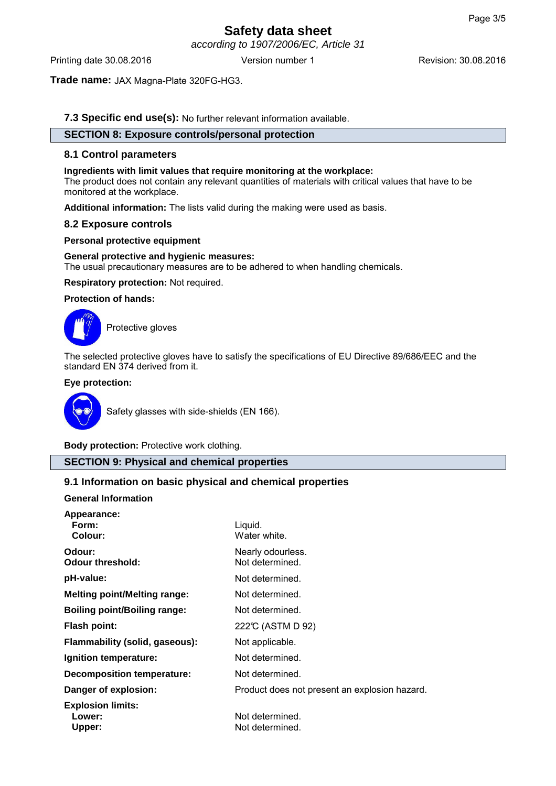according to 1907/2006/EC, Article 31

Printing date 30.08.2016 **Version number 1** Revision: 30.08.2016 **Revision:** 30.08.2016

**Trade name:** JAX Magna-Plate 320FG-HG3.

**7.3 Specific end use(s):** No further relevant information available.

# **SECTION 8: Exposure controls/personal protection**

## **8.1 Control parameters**

## **Ingredients with limit values that require monitoring at the workplace:**

The product does not contain any relevant quantities of materials with critical values that have to be monitored at the workplace.

**Additional information:** The lists valid during the making were used as basis.

## **8.2 Exposure controls**

## **Personal protective equipment**

### **General protective and hygienic measures:**

The usual precautionary measures are to be adhered to when handling chemicals.

**Respiratory protection:** Not required.

## **Protection of hands:**



Protective gloves

The selected protective gloves have to satisfy the specifications of EU Directive 89/686/EEC and the standard EN 374 derived from it.

## **Eye protection:**



Safety glasses with side-shields (EN 166).

**Body protection:** Protective work clothing.

## **SECTION 9: Physical and chemical properties**

# **9.1 Information on basic physical and chemical properties**

### **General Information**

| Appearance:<br>Form:<br>Colour:              | Liquid.<br>Water white.                       |
|----------------------------------------------|-----------------------------------------------|
| Odour:<br><b>Odour threshold:</b>            | Nearly odourless.<br>Not determined.          |
| pH-value:                                    | Not determined.                               |
| <b>Melting point/Melting range:</b>          | Not determined.                               |
| <b>Boiling point/Boiling range:</b>          | Not determined.                               |
| <b>Flash point:</b>                          | 222℃ (ASTM D 92)                              |
| Flammability (solid, gaseous):               | Not applicable.                               |
| Ignition temperature:                        | Not determined.                               |
| Decomposition temperature:                   | Not determined.                               |
| Danger of explosion:                         | Product does not present an explosion hazard. |
| <b>Explosion limits:</b><br>Lower:<br>Upper: | Not determined.<br>Not determined.            |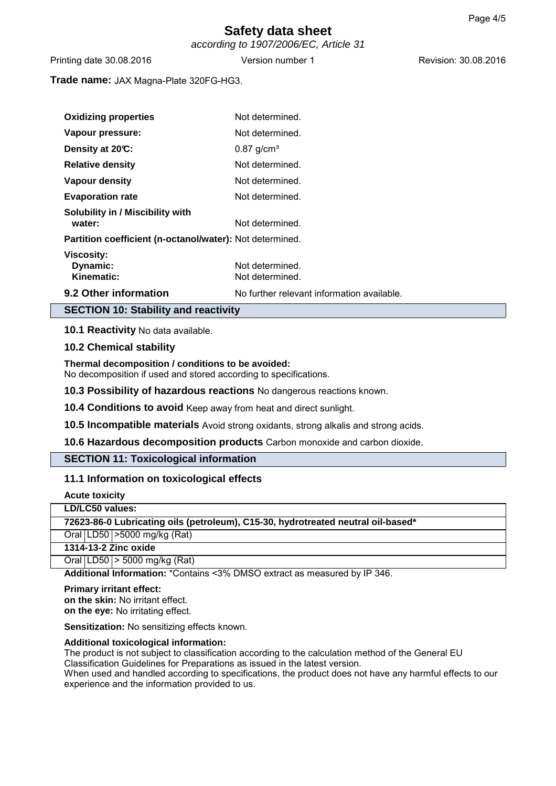according to 1907/2006/EC, Article 31

Printing date 30.08.2016 **Version number 1** Revision: 30.08.2016 **Revision:** 30.08.2016

**Trade name:** JAX Magna-Plate 320FG-HG3.

| <b>Oxidizing properties</b>                              | Not determined.                            |
|----------------------------------------------------------|--------------------------------------------|
| Vapour pressure:                                         | Not determined.                            |
| Density at 20°C:                                         | $0.87$ g/cm <sup>3</sup>                   |
| <b>Relative density</b>                                  | Not determined.                            |
| <b>Vapour density</b>                                    | Not determined.                            |
| <b>Evaporation rate</b>                                  | Not determined.                            |
| Solubility in / Miscibility with<br>water:               | Not determined.                            |
| Partition coefficient (n-octanol/water): Not determined. |                                            |
| <b>Viscosity:</b><br>Dynamic:<br>Kinematic:              | Not determined.<br>Not determined.         |
| 9.2 Other information                                    | No further relevant information available. |

**SECTION 10: Stability and reactivity**

**10.1 Reactivity** No data available.

## **10.2 Chemical stability**

**Thermal decomposition / conditions to be avoided:**

No decomposition if used and stored according to specifications.

**10.3 Possibility of hazardous reactions** No dangerous reactions known.

**10.4 Conditions to avoid** Keep away from heat and direct sunlight.

**10.5 Incompatible materials** Avoid strong oxidants, strong alkalis and strong acids.

**10.6 Hazardous decomposition products** Carbon monoxide and carbon dioxide.

## **SECTION 11: Toxicological information**

## **11.1 Information on toxicological effects**

| <b>Acute toxicity</b>                                                            |  |
|----------------------------------------------------------------------------------|--|
| LD/LC50 values:                                                                  |  |
| 72623-86-0 Lubricating oils (petroleum), C15-30, hydrotreated neutral oil-based* |  |
| Oral LD50 > 5000 mg/kg (Rat)                                                     |  |
| 1314-13-2 Zinc oxide                                                             |  |
| Oral LD50 $>$ 5000 mg/kg (Rat)                                                   |  |
| Additional Information: *Contains <3% DMSO extract as measured by IP 346.        |  |

**Primary irritant effect: on the skin:** No irritant effect. **on the eye:** No irritating effect.

**Sensitization:** No sensitizing effects known.

### **Additional toxicological information:**

The product is not subject to classification according to the calculation method of the General EU Classification Guidelines for Preparations as issued in the latest version. When used and handled according to specifications, the product does not have any harmful effects to our experience and the information provided to us.